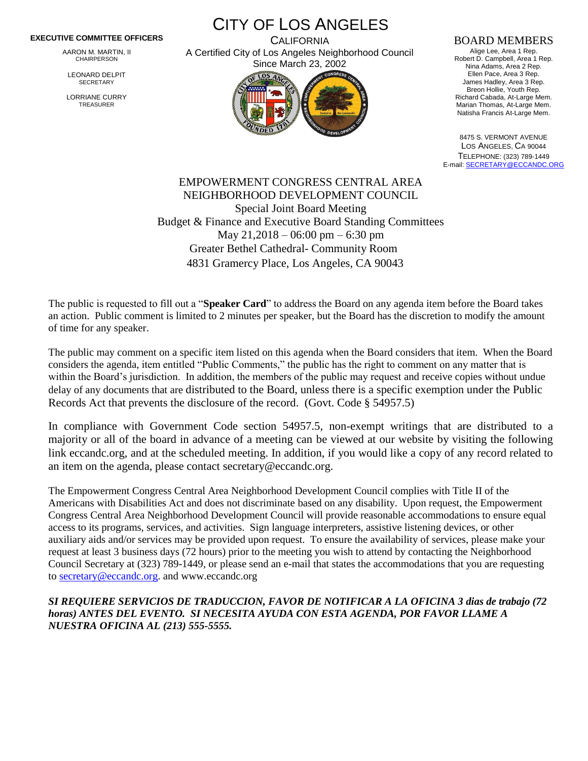## **EXECUTIVE COMMITTEE OFFICERS**

AARON M. MARTIN, II CHAIRPERSON

LEONARD DELPIT **SECRETARY** 

LORRIANE CURRY TREASURER

CITY OF LOS ANGELES **CALIFORNIA** 

A Certified City of Los Angeles Neighborhood Council Since March 23, 2002



## BOARD MEMBERS

Alige Lee, Area 1 Rep. Robert D. Campbell, Area 1 Rep. Nina Adams, Area 2 Rep. Ellen Pace, Area 3 Rep. James Hadley, Area 3 Rep. Breon Hollie, Youth Rep. Richard Cabada, At-Large Mem. Marian Thomas, At-Large Mem. Natisha Francis At-Large Mem.

8475 S. VERMONT AVENUE LOS ANGELES, CA 90044 TELEPHONE: (323) 789-1449 E-mail[: SECRETARY@ECCANDC.ORG](mailto:SECRETARY@ECCANDC.ORG)

EMPOWERMENT CONGRESS CENTRAL AREA NEIGHBORHOOD DEVELOPMENT COUNCIL Special Joint Board Meeting Budget & Finance and Executive Board Standing Committees May 21,2018 – 06:00 pm – 6:30 pm Greater Bethel Cathedral- Community Room 4831 Gramercy Place, Los Angeles, CA 90043

The public is requested to fill out a "**Speaker Card**" to address the Board on any agenda item before the Board takes an action. Public comment is limited to 2 minutes per speaker, but the Board has the discretion to modify the amount of time for any speaker.

The public may comment on a specific item listed on this agenda when the Board considers that item. When the Board considers the agenda, item entitled "Public Comments," the public has the right to comment on any matter that is within the Board's jurisdiction. In addition, the members of the public may request and receive copies without undue delay of any documents that are distributed to the Board, unless there is a specific exemption under the Public Records Act that prevents the disclosure of the record. (Govt. Code § 54957.5)

In compliance with Government Code section 54957.5, non-exempt writings that are distributed to a majority or all of the board in advance of a meeting can be viewed at our website by visiting the following link eccandc.org, and at the scheduled meeting. In addition, if you would like a copy of any record related to an item on the agenda, please contact secretary@eccandc.org.

The Empowerment Congress Central Area Neighborhood Development Council complies with Title II of the Americans with Disabilities Act and does not discriminate based on any disability. Upon request, the Empowerment Congress Central Area Neighborhood Development Council will provide reasonable accommodations to ensure equal access to its programs, services, and activities. Sign language interpreters, assistive listening devices, or other auxiliary aids and/or services may be provided upon request. To ensure the availability of services, please make your request at least 3 business days (72 hours) prior to the meeting you wish to attend by contacting the Neighborhood Council Secretary at (323) 789-1449, or please send an e-mail that states the accommodations that you are requesting t[o secretary@eccandc.org.](mailto:secretary@eccandc.org) and www.eccandc.org

*SI REQUIERE SERVICIOS DE TRADUCCION, FAVOR DE NOTIFICAR A LA OFICINA 3 dias de trabajo (72 horas) ANTES DEL EVENTO. SI NECESITA AYUDA CON ESTA AGENDA, POR FAVOR LLAME A NUESTRA OFICINA AL (213) 555-5555.*